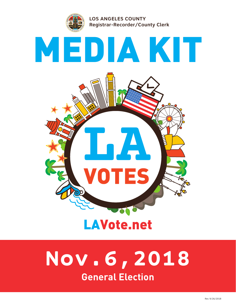

# **General Election Nov.6,2018**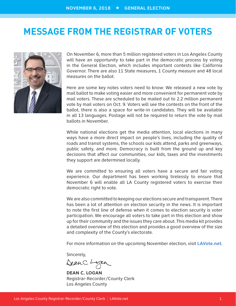### **MESSAGE FROM THE REGISTRAR OF VOTERS**



On November 6, more than 5 million registered voters in Los Angeles County will have an opportunity to take part in the democratic process by voting in the General Election, which includes important contests like California Governor. There are also 11 State measures, 1 County measure and 48 local measures on the ballot.

Here are some key notes voters need to know: We released a new vote by mail ballot to make voting easier and more convenient for permanent vote by mail voters. These are scheduled to be mailed out to 2.2 million permanent vote by mail voters on Oct. 9. Voters will see the contests on the front of the ballot, there is also a space for write-in candidates. They will be available in all 13 languages. Postage will not be required to return the vote by mail ballots in November.

While national elections get the media attention, local elections in many ways have a more direct impact on people's lives, including the quality of roads and transit systems, the schools our kids attend, parks and greenways, public safety, and more. Democracy is built from the ground up and key decisions that affect our communities, our kids, taxes and the investments they support are determined locally.

We are committed to ensuring all voters have a secure and fair voting experience. Our department has been working tirelessly to ensure that November 6 will enable all LA County registered voters to exercise their democratic right to vote.

We are also committed to keeping our elections secure and transparent. There has been a lot of attention on election security in the news. It is important to note the first line of defense when it comes to election security is voter participation. We encourage all voters to take part in this election and show up for their community and the issues they care about. This media kit provides a detailed overview of this election and provides a good overview of the size and complexity of the County's electorate.

For more information on the upcoming November election, visit **LAVote.net**.

Sincerely,

DeanC. Logan

**DEAN C. LOGAN** Registrar-Recorder/County Clerk Los Angeles County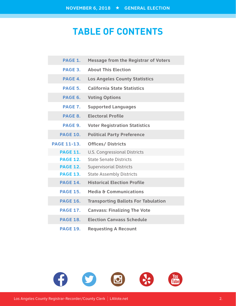# **TABLE OF CONTENTS**

| <b>PAGE 1.</b>     | <b>Message from the Registrar of Voters</b> |
|--------------------|---------------------------------------------|
| PAGE 3.            | <b>About This Election</b>                  |
| PAGE 4.            | <b>Los Angeles County Statistics</b>        |
| PAGE 5.            | <b>California State Statistics</b>          |
| PAGE 6.            | <b>Voting Options</b>                       |
| <b>PAGE 7.</b>     | <b>Supported Languages</b>                  |
| PAGE 8.            | <b>Electoral Profile</b>                    |
| PAGE 9.            | <b>Voter Registration Statistics</b>        |
| <b>PAGE 10.</b>    | <b>Political Party Preference</b>           |
| <b>PAGE 11-13.</b> | <b>Offices/ Districts</b>                   |
| <b>PAGE 11.</b>    | <b>U.S. Congressional Districts</b>         |
| <b>PAGE 12.</b>    | <b>State Senate Districts</b>               |
| <b>PAGE 12.</b>    | <b>Supervisorial Districts</b>              |
| <b>PAGE 13.</b>    | <b>State Assembly Districts</b>             |
| <b>PAGE 14.</b>    | <b>Historical Election Profile</b>          |
| <b>PAGE 15.</b>    | Media & Communications                      |
| <b>PAGE 16.</b>    | <b>Transporting Ballots For Tabulation</b>  |
| <b>PAGE 17.</b>    | <b>Canvass: Finalizing The Vote</b>         |
| <b>PAGE 18.</b>    | <b>Election Canvass Schedule</b>            |
| <b>PAGE 19.</b>    | <b>Requesting A Recount</b>                 |

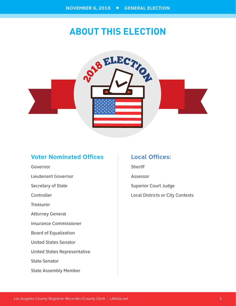# **ABOUT THIS ELECTION**



### **Voter Nominated Offices**

Governor Lieutenant Governor Secretary of State Controller Treasurer Attorney General Insurance Commissioner Board of Equalization United States Senator United States Representative State Senator State Assembly Member

### **Local Offices:**

**Sheriff** Assessor Superior Court Judge Local Districts or City Contests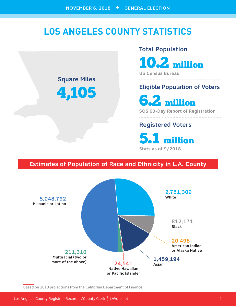# **LOS ANGELES COUNTY STATISTICS**



4,105

#### **Total Population**

10.2 million

**US Census Bureau**

### **Eligible Population of Voters**

6.2 million

**SOS 60-Day Report of Registration**

### **Registered Voters**

5.1 million **Stats as of 9/2018**

### **Estimates of Population of Race and Ethnicity in L.A. County**



Based on 2018 projections from the California Department of Finance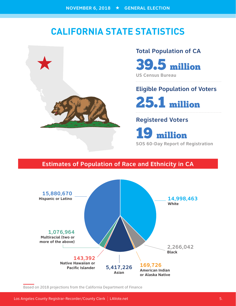## **CALIFORNIA STATE STATISTICS**

![](_page_5_Picture_2.jpeg)

# **Total Population of CA**  39.5 million

**US Census Bureau**

### **Eligible Population of Voters**

25.1 million

### **Registered Voters**

19 million **SOS 60-Day Report of Registration**

### **Estimates of Population of Race and Ethnicity in CA**

![](_page_5_Figure_10.jpeg)

Based on 2018 projections from the California Department of Finance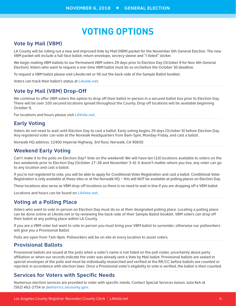# **VOTING OPTIONS**

#### **Vote by Mail (VBM)**

LA County will be rolling out a new and improved Vote by Mail (VBM) packet for the November 6th General Election. The new VBM packet will include a full-face ballot, return envelope, secrecy sleeve and "I Voted" sticker.

We begin mailing VBM ballots to our Permanent VBM voters 29 days prior to Election Day (October 9 for Nov. 6th General Election). Voters who want to request a one-time VBM ballot must do so on/before the October 30 deadline.

To request a VBM ballot please visit LAvote.net or fill out the back-side of the Sample Ballot booklet.

Voters can track their ballot's status at **LAvote.net**.

#### **Vote by Mail (VBM) Drop-Off**

We continue to offer VBM voters the option to drop off their ballot in-person in a secured ballot box prior to Election Day. There will be over 100 secured locations spread throughout the County. Drop off locations will be available beginning October 9.

For locations and hours please visit **LAVote.net**.

#### **Early Voting**

Voters do not need to wait until Election Day to cast a ballot. Early voting begins 29 days (October 9) before Election Day. Any registered voter can vote at the Norwalk Headquarters from 8am-5pm, Monday-Friday, and cast a ballot.

Norwalk HQ address: 12400 Imperial Highway, 3rd floor, Norwalk, CA 90650

#### **Weekend Early Voting**

Can't make it to the polls on Election Day? Vote on the weekend! We will have ten (10) locations available to voters on the two weekends prior to Election Day (October 27-28 and November 3-4). It doesn't matter where you live, any voter can go to any location and cast a ballot.

If you're not registered to vote, you will be able to apply for Conditional Voter Registration and cast a ballot. Conditional Voter Registration is only available at these sites or at the Norwalk HQ – this will NOT be available at polling places on Election Day.

These locations also serve as VBM drop-off locations so there is no need to wait in line if you are dropping off a VBM ballot.

Locations and hours can be found on **LAVote.net**.

#### **Voting at a Polling Place**

Voters who want to vote in-person on Election Day must do so at their designated polling place. Locating a polling place can be done online at LAvote.net or by reviewing the back-side of their Sample Ballot booklet. VBM voters can drop off their ballot at any polling place within LA County.

If you are a VBM voter but want to vote in-person you must bring your VBM ballot to surrender; otherwise our pollworkers will give you a Provisional Ballot.

Polls are open from 7am-8pm. Pollworkers will be on site at every location to assist voters.

#### **Provisional Ballots**

Provisional ballots are issued at the polls when a voter's name is not listed on the poll roster, uncertainty about party affiliation or when our records indicate the voter was already sent a Vote by Mail ballot. Provisional ballots are sealed in special envelopes at the polls and must be individually researched and verified at the RR/CC before ballots are counted or rejected, in accordance with election laws. Once a Provisional voter's eligibility to vote is verified, the ballot is then counted.

#### **Services for Voters with Specific Needs**

Numerous election services are provided to voter with specific needs. Contact Special Services liaison Julia Keh at (562) 462-2754 or **jkeh@rrcc.lacounty.gov**.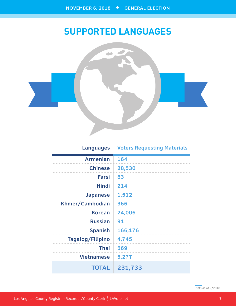# **SUPPORTED LANGUAGES**

![](_page_7_Picture_2.jpeg)

### **Languages Voters Requesting Materials**

| <b>Armenian</b>         | 164     |
|-------------------------|---------|
| <b>Chinese</b>          | 28,530  |
| <b>Farsi</b>            | 83      |
| <b>Hindi</b>            | 214     |
| <b>Japanese</b>         | 1,512   |
| Khmer/Cambodian         | 366     |
| <b>Korean</b>           | 24,006  |
| <b>Russian</b>          | 91      |
| <b>Spanish</b>          | 166,176 |
| <b>Tagalog/Filipino</b> | 4,745   |
| <b>Thai</b>             | 569     |
| <b>Vietnamese</b>       | 5,277   |
| <b>TOTAL</b>            | 231,733 |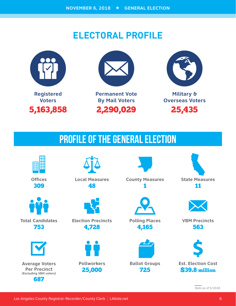# **ELECTORAL PROFILE**

![](_page_8_Picture_2.jpeg)

![](_page_8_Picture_3.jpeg)

**Permanent Vote By Mail Voters** 2,290,029

![](_page_8_Picture_5.jpeg)

**Military & Overseas Voters** 25,435

# PROFILE OF THE GENERAL ELECTION

![](_page_8_Picture_8.jpeg)

**Offices** 309

![](_page_8_Picture_10.jpeg)

**Total Candidates** 753

![](_page_8_Picture_12.jpeg)

**Average Voters Per Precinct (Excluding VBM voters)** 687

![](_page_8_Picture_14.jpeg)

**Local Measures** 48

![](_page_8_Picture_16.jpeg)

**Election Precincts** 4,728

![](_page_8_Picture_18.jpeg)

25,000

**County Measures** 1

![](_page_8_Picture_21.jpeg)

**Polling Places** 4,165

![](_page_8_Picture_23.jpeg)

725

**Ballot Groups**

![](_page_8_Picture_25.jpeg)

11

![](_page_8_Picture_27.jpeg)

**VBM Precincts** 563

![](_page_8_Picture_29.jpeg)

**Est. Election Cost** \$39.8 million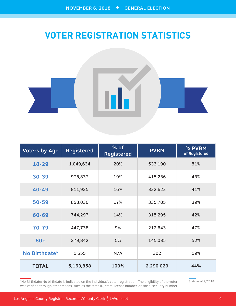# **VOTER REGISTRATION STATISTICS**

![](_page_9_Picture_2.jpeg)

| <b>Voters by Age</b> | <b>Registered</b> | $%$ of<br><b>Registered</b> | <b>PVBM</b> | % PVBM<br>of Registered |
|----------------------|-------------------|-----------------------------|-------------|-------------------------|
| $18 - 29$            | 1,049,634         | 20%                         | 533,190     | 51%                     |
| $30 - 39$            | 975,837           | 19%                         | 415,236     | 43%                     |
| $40 - 49$            | 811,925           | 16%                         | 332,623     | 41%                     |
| $50 - 59$            | 853,030           | 17%                         | 335,705     | 39%                     |
| 60-69                | 744,297           | 14%                         | 315,295     | 42%                     |
| 70-79                | 447,738           | 9%                          | 212,643     | 47%                     |
| $80 +$               | 279,842           | 5%                          | 145,035     | 52%                     |
| No Birthdate*        | 1,555             | N/A                         | 302         | 19%                     |
| <b>TOTAL</b>         | 5,163,858         | 100%                        | 2,290,029   | 44%                     |

\*No Birthdate: No birthdate is indicated on the individual's voter registration. The eligibility of the voter was verified through other means, such as the state ID, state license number, or social security number.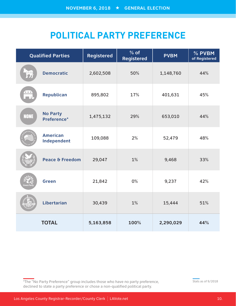# **POLITICAL PARTY PREFERENCE**

|             | <b>Qualified Parties</b>       | <b>Registered</b> | $%$ of<br><b>Registered</b> | <b>PVBM</b> | % PVBM<br>of Registered |
|-------------|--------------------------------|-------------------|-----------------------------|-------------|-------------------------|
|             | <b>Democratic</b>              | 2,602,508         | 50%                         | 1,148,760   | 44%                     |
| $***$<br>m. | Republican                     | 895,802           | 17%                         | 401,631     | 45%                     |
| <b>NONE</b> | <b>No Party</b><br>Preference* | 1,475,132         | 29%                         | 653,010     | 44%                     |
|             | <b>American</b><br>Independent | 109,088           | 2%                          | 52,479      | 48%                     |
|             | Peace & Freedom                | 29,047            | 1%                          | 9,468       | 33%                     |
| Green Pai   | <b>Green</b>                   | 21,842            | 0%                          | 9,237       | 42%                     |
|             | Libertarian                    | 30,439            | 1%                          | 15,444      | 51%                     |
|             | <b>TOTAL</b>                   | 5,163,858         | 100%                        | 2,290,029   | 44%                     |

\*The "No Party Preference" group includes those who have no party preference, declined to state a party preference or chose a non-qualified political party.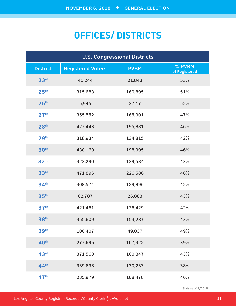# **OFFICES/ DISTRICTS**

| <b>U.S. Congressional Districts</b> |                          |             |                         |  |
|-------------------------------------|--------------------------|-------------|-------------------------|--|
| <b>District</b>                     | <b>Registered Voters</b> | <b>PVBM</b> | % PVBM<br>of Registered |  |
| 23 <sup>rd</sup>                    | 41,244                   | 21,843      | 53%                     |  |
| 25 <sup>th</sup>                    | 315,683                  | 160,895     | 51%                     |  |
| 26 <sup>th</sup>                    | 5,945                    | 3,117       | 52%                     |  |
| 27 <sup>th</sup>                    | 355,552                  | 165,901     | 47%                     |  |
| 28 <sup>th</sup>                    | 427,443                  | 195,881     | 46%                     |  |
| 29 <sup>th</sup>                    | 318,934                  | 134,815     | 42%                     |  |
| 30 <sup>th</sup>                    | 430,160                  | 198,995     | 46%                     |  |
| 32 <sup>nd</sup>                    | 323,290                  | 139,584     | 43%                     |  |
| 33 <sup>rd</sup>                    | 471,896                  | 226,586     | 48%                     |  |
| 34 <sup>th</sup>                    | 308,574                  | 129,896     | 42%                     |  |
| 35 <sup>th</sup>                    | 62,787                   | 26,883      | 43%                     |  |
| 37 <sup>th</sup>                    | 421,461                  | 176,429     | 42%                     |  |
| 38 <sup>th</sup>                    | 355,609                  | 153,287     | 43%                     |  |
| 39th                                | 100,407                  | 49,037      | 49%                     |  |
| 40 <sup>th</sup>                    | 277,696                  | 107,322     | 39%                     |  |
| 43rd                                | 371,560                  | 160,847     | 43%                     |  |
| 44 <sup>th</sup>                    | 339,638                  | 130,233     | 38%                     |  |
| 47 <sup>th</sup>                    | 235,979                  | 108,478     | 46%                     |  |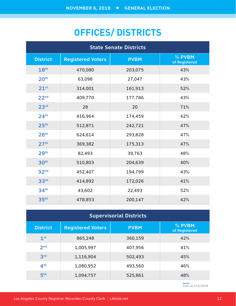# **OFFICES/ DISTRICTS**

| <b>State Senate Districts</b> |                          |             |                         |  |
|-------------------------------|--------------------------|-------------|-------------------------|--|
| <b>District</b>               | <b>Registered Voters</b> | <b>PVBM</b> | % PVBM<br>of Registered |  |
| 18th                          | 470,080                  | 203,075     | 43%                     |  |
| 20 <sup>th</sup>              | 63,098                   | 27,047      | 43%                     |  |
| 21 <sup>st</sup>              | 314,001                  | 161,913     | 52%                     |  |
| 22 <sub>nd</sub>              | 409,770                  | 177,786     | 43%                     |  |
| 23 <sup>rd</sup>              | 28                       | 20          | 71%                     |  |
| 24 <sup>th</sup>              | 416,964                  | 174,459     | 42%                     |  |
| 25 <sup>th</sup>              | 512,871                  | 242,721     | 47%                     |  |
| 26 <sup>th</sup>              | 624,614                  | 293,828     | 47%                     |  |
| 27 <sup>th</sup>              | 369,382                  | 175,313     | 47%                     |  |
| 29 <sup>th</sup>              | 82,493                   | 39,763      | 48%                     |  |
| 30 <sup>th</sup>              | 510,803                  | 204,639     | 40%                     |  |
| 32 <sup>nd</sup>              | 452,407                  | 194,799     | 43%                     |  |
| 33 <sup>rd</sup>              | 414,892                  | 172,026     | 41%                     |  |
| 34 <sup>th</sup>              | 43,602                   | 22,493      | 52%                     |  |
| 35 <sup>th</sup>              | 478,853                  | 200,147     | 42%                     |  |

| <b>Supervisorial Districts</b> |                          |             |                         |  |
|--------------------------------|--------------------------|-------------|-------------------------|--|
| <b>District</b>                | <b>Registered Voters</b> | <b>PVBM</b> | % PVBM<br>of Registered |  |
| 1 <sup>st</sup>                | 865,248                  | 360,159     | 42%                     |  |
| 2 <sub>nd</sub>                | 1,005,997                | 407,956     | 41%                     |  |
| 3 <sup>rd</sup>                | 1,116,904                | 502,493     | 45%                     |  |
| 4 <sup>th</sup>                | 1,080,952                | 493,560     | 46%                     |  |
| 5 <sup>th</sup>                | 1,094,757                | 525,861     | 48%                     |  |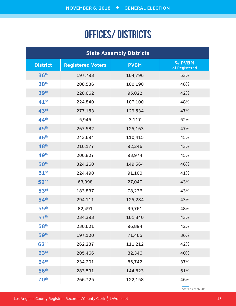# OFFICES/ DISTRICTS

| <b>State Assembly Districts</b> |                          |             |                         |  |  |
|---------------------------------|--------------------------|-------------|-------------------------|--|--|
| <b>District</b>                 | <b>Registered Voters</b> | <b>PVBM</b> | % PVBM<br>of Registered |  |  |
| 36 <sup>th</sup>                | 197,793                  | 104,796     | 53%                     |  |  |
| 38 <sup>th</sup>                | 208,536                  | 100,190     | 48%                     |  |  |
| 39 <sup>th</sup>                | 228,662                  | 95,022      | 42%                     |  |  |
| $41^{st}$                       | 224,840                  | 107,100     | 48%                     |  |  |
| 43rd                            | 277,153                  | 129,534     | 47%                     |  |  |
| 44 <sup>th</sup>                | 5,945                    | 3,117       | 52%                     |  |  |
| 45 <sup>th</sup>                | 267,582                  | 125,163     | 47%                     |  |  |
| 46 <sup>th</sup>                | 243,694                  | 110,415     | 45%                     |  |  |
| 48 <sup>th</sup>                | 216,177                  | 92,246      | 43%                     |  |  |
| 49th                            | 206,827                  | 93,974      | 45%                     |  |  |
| 50 <sup>th</sup>                | 324,260                  | 149,564     | 46%                     |  |  |
| $51^{st}$                       | 224,498                  | 91,100      | 41%                     |  |  |
| 52 <sup>nd</sup>                | 63,098                   | 27,047      | 43%                     |  |  |
| 53 <sup>rd</sup>                | 183,837                  | 78,236      | 43%                     |  |  |
| 54 <sup>th</sup>                | 294,111                  | 125,284     | 43%                     |  |  |
| 55 <sup>th</sup>                | 82,491                   | 39,761      | 48%                     |  |  |
| 57 <sup>th</sup>                | 234,393                  | 101,840     | 43%                     |  |  |
| 58 <sup>th</sup>                | 230,621                  | 96,894      | 42%                     |  |  |
| 59 <sup>th</sup>                | 197,120                  | 71,465      | 36%                     |  |  |
| 62 <sup>nd</sup>                | 262,237                  | 111,212     | 42%                     |  |  |
| 63 <sup>rd</sup>                | 205,466                  | 82,346      | 40%                     |  |  |
| 64 <sup>th</sup>                | 234,201                  | 86,742      | 37%                     |  |  |
| 66 <sup>th</sup>                | 283,591                  | 144,823     | 51%                     |  |  |
| <b>70th</b>                     | 266,725                  | 122,158     | 46%                     |  |  |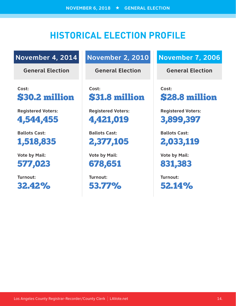# **HISTORICAL ELECTION PROFILE**

### **November 4, 2014**

**General Election**

**Cost:**  \$30.2 million

**Registered Voters:** 

4,544,455

**Ballots Cast:**  1,518,835

**Vote by Mail:**  577,023

**Turnout:**  32.42%

### **November 2, 2010**

**General Election**

**Cost:**  \$31.8 million

**Registered Voters:**  4,421,019

**Ballots Cast:**  2,377,105

**Vote by Mail:**  678,651

**Turnout:**  53.77%

### **November 7, 2006**

**General Election**

**Cost:**  \$28.8 million

**Registered Voters:**  3,899,397

**Ballots Cast:**  2,033,119

**Vote by Mail:**  831,383

**Turnout:**  52.14%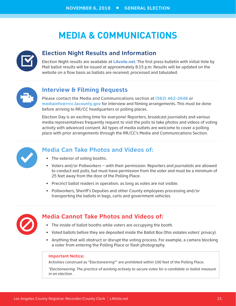# **MEDIA & COMMUNICATIONS**

![](_page_15_Picture_2.jpeg)

#### **Election Night Results and Information**

Election Night results are available at **LAvote.net**. The first press bulletin with initial Vote by Mail ballot results will be issued at approximately 8:15 p.m. Results will be updated on the website on a flow basis as ballots are received, processed and tabulated.

![](_page_15_Picture_5.jpeg)

#### **Interview & Filming Requests**

Please contact the Media and Communications section at **(562) 462-2648** or **mediainfo@rrcc.lacounty.gov** for interview and filming arrangements. This must be done before arriving to RR/CC headquarters or polling places.

Election Day is an exciting time for everyone! Reporters, broadcast journalists and various media representatives frequently request to visit the polls to take photos and videos of voting activity with advanced consent. All types of media outlets are welcome to cover a polling place with prior arrangements through the RR/CC's Media and Communications Section.

![](_page_15_Picture_9.jpeg)

#### **Media Can Take Photos and Videos of:**

- The exterior of voting booths.
- Voters and/or Pollworkers with their permission. Reporters and journalists are allowed to conduct exit polls, but must have permission from the voter and must be a minimum of 25 feet away from the door of the Polling Place.
- Precinct ballot readers in operation, as long as votes are not visible.
- Pollworkers, Sheriff's Deputies and other County employees processing and/or transporting the ballots in bags, carts and government vehicles.

![](_page_15_Picture_15.jpeg)

#### **Media Cannot Take Photos and Videos of:**

- The inside of ballot booths while voters are occupying the booth.
- Voted ballots before they are deposited inside the Ballot Box (this violates voters' privacy).
- Anything that will obstruct or disrupt the voting process. For example, a camera blocking a voter from entering the Polling Place or flash photography.

#### **Important Notice:**

Activities construed as "Electioneering\*" are prohibited within 100 feet of the Polling Place.

*\*Electioneering: The practice of working actively to secure votes for a candidate or ballot measure in an election.*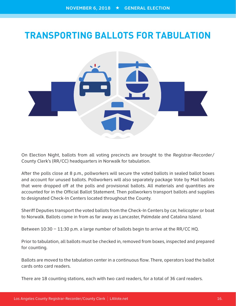# **TRANSPORTING BALLOTS FOR TABULATION**

![](_page_16_Picture_2.jpeg)

On Election Night, ballots from all voting precincts are brought to the Registrar-Recorder/ County Clerk's (RR/CC) headquarters in Norwalk for tabulation.

After the polls close at 8 p.m., pollworkers will secure the voted ballots in sealed ballot boxes and account for unused ballots. Pollworkers will also separately package Vote by Mail ballots that were dropped off at the polls and provisional ballots. All materials and quantities are accounted for in the Official Ballot Statement. Then pollworkers transport ballots and supplies to designated Check-In Centers located throughout the County.

Sheriff Deputies transport the voted ballots from the Check-In Centers by car, helicopter or boat to Norwalk. Ballots come in from as far away as Lancaster, Palmdale and Catalina Island.

Between 10:30 – 11:30 p.m. a large number of ballots begin to arrive at the RR/CC HQ.

Prior to tabulation, all ballots must be checked in, removed from boxes, inspected and prepared for counting.

Ballots are moved to the tabulation center in a continuous flow. There, operators load the ballot cards onto card readers.

There are 18 counting stations, each with two card readers, for a total of 36 card readers.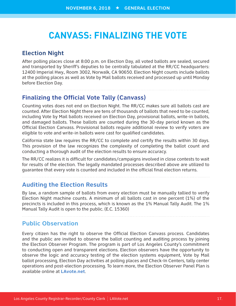### **CANVASS: FINALIZING THE VOTE**

#### **Election Night**

After polling places close at 8:00 p.m. on Election Day, all voted ballots are sealed, secured and transported by Sheriff's deputies to be centrally tabulated at the RR/CC headquarters: 12400 Imperial Hwy., Room 3002, Norwalk, CA 90650. Election Night counts include ballots at the polling places as well as Vote by Mail ballots received and processed up until Monday before Election Day.

#### **Finalizing the Official Vote Tally (Canvass)**

Counting votes does not end on Election Night. The RR/CC makes sure all ballots cast are counted. After Election Night there are tens of thousands of ballots that need to be counted, including Vote by Mail ballots received on Election Day, provisional ballots, write-in ballots, and damaged ballots. These ballots are counted during the 30-day period known as the Official Election Canvass. Provisional ballots require additional review to verify voters are eligible to vote and write-in ballots were cast for qualified candidates.

California state law requires the RR/CC to complete and certify the results within 30 days. This provision of the law recognizes the complexity of completing the ballot count and conducting a thorough audit of the election results to ensure accuracy.

The RR/CC realizes it is difficult for candidates/campaigns involved in close contests to wait for results of the election. The legally mandated processes described above are utilized to guarantee that every vote is counted and included in the official final election returns.

#### **Auditing the Election Results**

By law, a random sample of ballots from every election must be manually tallied to verify Election Night machine counts. A minimum of all ballots cast in one percent (1%) of the precincts is included in this process, which is known as the 1% Manual Tally Audit. The 1% Manual Tally Audit is open to the public. (E.C. 15360)

**Public Observation**

Every citizen has the right to observe the Official Election Canvass process. Candidates and the public are invited to observe the ballot counting and auditing process by joining the Election Observer Program. The program is part of Los Angeles County's commitment to conducting open and transparent elections. Election observers have the opportunity to observe the logic and accuracy testing of the election systems equipment, Vote by Mail ballot processing, Election Day activities at polling places and Check-In Centers, tally center operations and post-election processing. To learn more, the Election Observer Panel Plan is available online at **LAvote.net**.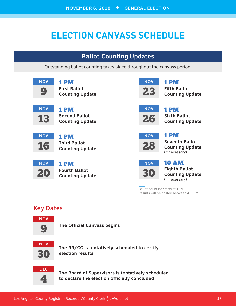# **ELECTION CANVASS SCHEDULE**

### **Ballot Counting Updates**

Outstanding ballot counting takes place throughout the canvass period.

![](_page_18_Picture_4.jpeg)

1 PM **First Ballot Counting Update**

![](_page_18_Picture_6.jpeg)

1 PM **Second Ballot Counting Update**

![](_page_18_Picture_8.jpeg)

#### 1 PM **Third Ballot Counting Update**

**NOV** 20

![](_page_18_Picture_11.jpeg)

![](_page_18_Picture_12.jpeg)

1 PM **Fifth Ballot Counting Update**

![](_page_18_Picture_14.jpeg)

1 PM **Sixth Ballot Counting Update**

![](_page_18_Picture_16.jpeg)

1 PM **Seventh Ballot Counting Update** (If necessary)

![](_page_18_Picture_18.jpeg)

#### 10 AM **Eighth Ballot Counting Update** (If necessary)

Ballot counting starts at 1PM. Results will be posted between 4 -5PM.

### **Key Dates**

![](_page_18_Picture_22.jpeg)

**The Official Canvass begins**

![](_page_18_Picture_24.jpeg)

**The RR/CC is tentatively scheduled to certify election results**

![](_page_18_Picture_26.jpeg)

**The Board of Supervisors is tentatively scheduled to declare the election officially concluded**